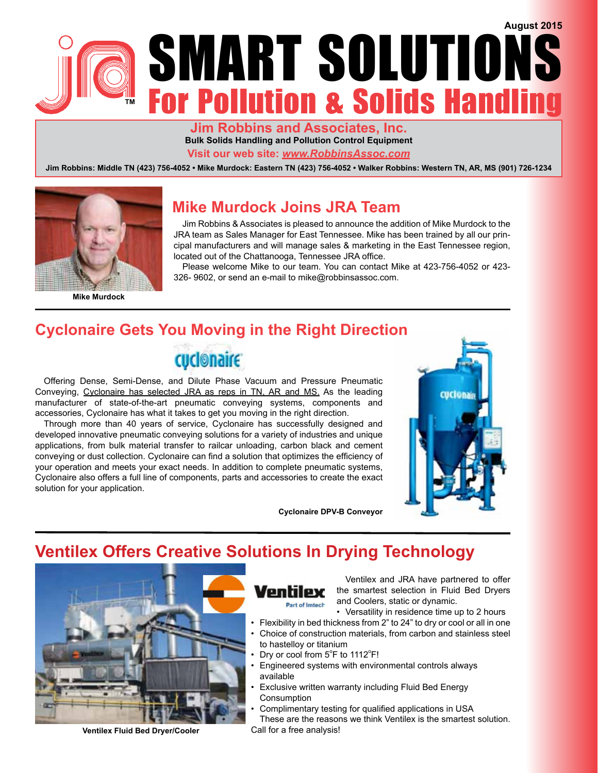

**Jim Robbins and Associates, Inc. Bulk Solids Handling and Pollution Control Equipment Visit our web site:** *www.RobbinsAssoc.com*

**Jim Robbins: Middle TN (423) 756-4052 • Mike Murdock: Eastern TN (423) 756-4052 • Walker Robbins: Western TN, AR, MS (901) 726-1234**



**Mike Murdock**

### **Mike Murdock Joins JRA Team**

Jim Robbins & Associates is pleased to announce the addition of Mike Murdock to the JRA team as Sales Manager for East Tennessee. Mike has been trained by all our principal manufacturers and will manage sales & marketing in the East Tennessee region, located out of the Chattanooga, Tennessee JRA office.

Please welcome Mike to our team. You can contact Mike at 423-756-4052 or 423- 326- 9602, or send an e-mail to mike@robbinsassoc.com.

# **Cyclonaire Gets You Moving in the Right Direction**

cuclonaire

Offering Dense, Semi-Dense, and Dilute Phase Vacuum and Pressure Pneumatic Conveying, Cyclonaire has selected JRA as reps in TN, AR and MS. As the leading manufacturer of state-of-the-art pneumatic conveying systems, components and accessories, Cyclonaire has what it takes to get you moving in the right direction.

Through more than 40 years of service, Cyclonaire has successfully designed and developed innovative pneumatic conveying solutions for a variety of industries and unique applications, from bulk material transfer to railcar unloading, carbon black and cement conveying or dust collection. Cyclonaire can find a solution that optimizes the efficiency of your operation and meets your exact needs. In addition to complete pneumatic systems, Cyclonaire also offers a full line of components, parts and accessories to create the exact solution for your application.

**Cyclonaire DPV-B Conveyor**



### **Ventilex Offers Creative Solutions In Drying Technology**



**Ventilex Fluid Bed Dryer/Cooler**

Ventilex Part of Imtech

Ventilex and JRA have partnered to offer the smartest selection in Fluid Bed Dryers and Coolers, static or dynamic.

• Versatility in residence time up to 2 hours

- Flexibility in bed thickness from 2" to 24" to dry or cool or all in one • Choice of construction materials, from carbon and stainless steel
- to hastelloy or titanium
	- Dry or cool from  $5^{\circ}$ F to 1112 $^{\circ}$ F!
- Engineered systems with environmental controls always available
- Exclusive written warranty including Fluid Bed Energy **Consumption**
- Complimentary testing for qualified applications in USA These are the reasons we think Ventilex is the smartest solution. Call for a free analysis!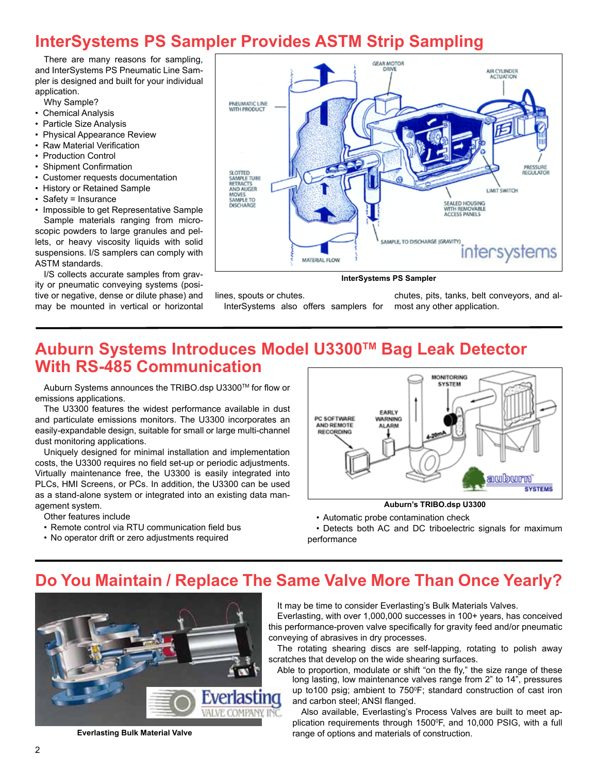# **InterSystems PS Sampler Provides ASTM Strip Sampling**

There are many reasons for sampling, and InterSystems PS Pneumatic Line Sampler is designed and built for your individual application.

Why Sample?

- Chemical Analysis
- Particle Size Analysis
- Physical Appearance Review
- Raw Material Verification
- Production Control
- Shipment Confirmation
- Customer requests documentation
- History or Retained Sample
- Safety = Insurance
- Impossible to get Representative Sample Sample materials ranging from microscopic powders to large granules and pellets, or heavy viscosity liquids with solid suspensions. I/S samplers can comply with ASTM standards.

I/S collects accurate samples from gravity or pneumatic conveying systems (positive or negative, dense or dilute phase) and may be mounted in vertical or horizontal



#### **InterSystems PS Sampler**

lines, spouts or chutes.

InterSystems also offers samplers for

chutes, pits, tanks, belt conveyors, and almost any other application.

# **Auburn Systems Introduces Model U3300TM Bag Leak Detector With RS-485 Communication**

Auburn Systems announces the TRIBO.dsp U3300TM for flow or emissions applications.

The U3300 features the widest performance available in dust and particulate emissions monitors. The U3300 incorporates an easily-expandable design, suitable for small or large multi-channel dust monitoring applications.

Uniquely designed for minimal installation and implementation costs, the U3300 requires no field set-up or periodic adjustments. Virtually maintenance free, the U3300 is easily integrated into PLCs, HMI Screens, or PCs. In addition, the U3300 can be used as a stand-alone system or integrated into an existing data management system.

Other features include

- Remote control via RTU communication field bus
- No operator drift or zero adjustments required



**Auburn's TRIBO.dsp U3300**

• Automatic probe contamination check

• Detects both AC and DC triboelectric signals for maximum performance

### **Do You Maintain / Replace The Same Valve More Than Once Yearly?**



**Everlasting Bulk Material Valve**

It may be time to consider Everlasting's Bulk Materials Valves.

Everlasting, with over 1,000,000 successes in 100+ years, has conceived this performance-proven valve specifically for gravity feed and/or pneumatic conveying of abrasives in dry processes.

The rotating shearing discs are self-lapping, rotating to polish away scratches that develop on the wide shearing surfaces.

Able to proportion, modulate or shift "on the fly," the size range of these long lasting, low maintenance valves range from 2" to 14", pressures up to100 psig; ambient to  $750^{\circ}$ F; standard construction of cast iron and carbon steel; ANSI flanged.

Also available, Everlasting's Process Valves are built to meet application requirements through 1500<sup>o</sup>F, and 10,000 PSIG, with a full range of options and materials of construction.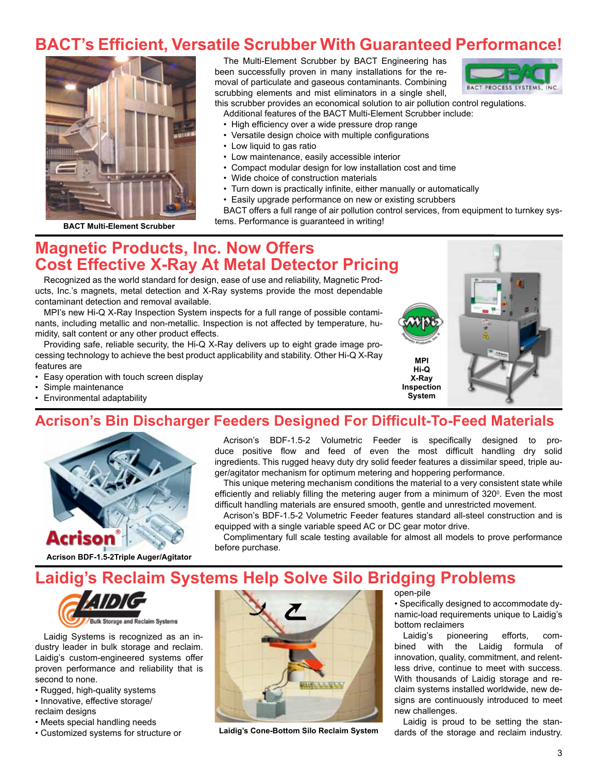# **BACT's Efficient, Versatile Scrubber With Guaranteed Performance!**



**BACT Multi-Element Scrubber**

The Multi-Element Scrubber by BACT Engineering has been successfully proven in many installations for the removal of particulate and gaseous contaminants. Combining scrubbing elements and mist eliminators in a single shell.



this scrubber provides an economical solution to air pollution control regulations.

- Additional features of the BACT Multi-Element Scrubber include:
	- High efficiency over a wide pressure drop range
	- Versatile design choice with multiple configurations
	- Low liquid to gas ratio
	- Low maintenance, easily accessible interior
	- Compact modular design for low installation cost and time
	- Wide choice of construction materials
	- Turn down is practically infinite, either manually or automatically
	- Easily upgrade performance on new or existing scrubbers

BACT offers a full range of air pollution control services, from equipment to turnkey systems. Performance is guaranteed in writing!

#### **Magnetic Products, Inc. Now Offers Cost Effective X-Ray At Metal Detector Pricing**

Recognized as the world standard for design, ease of use and reliability, Magnetic Products, Inc.'s magnets, metal detection and X-Ray systems provide the most dependable contaminant detection and removal available.

MPI's new Hi-Q X-Ray Inspection System inspects for a full range of possible contaminants, including metallic and non-metallic. Inspection is not affected by temperature, humidity, salt content or any other product effects.

Providing safe, reliable security, the Hi-Q X-Ray delivers up to eight grade image processing technology to achieve the best product applicability and stability. Other Hi-Q X-Ray features are

- Easy operation with touch screen display
- Simple maintenance
- Environmental adaptability

# **MPI Hi-Q X-Ray Inspection System**

### **Acrison's Bin Discharger Feeders Designed For Difficult-To-Feed Materials**



**Acrison BDF-1.5-2Triple Auger/Agitator**

Acrison's BDF-1.5-2 Volumetric Feeder is specifically designed to produce positive flow and feed of even the most difficult handling dry solid ingredients. This rugged heavy duty dry solid feeder features a dissimilar speed, triple auger/agitator mechanism for optimum metering and hoppering performance.

This unique metering mechanism conditions the material to a very consistent state while efficiently and reliably filling the metering auger from a minimum of 320<sup>o</sup>. Even the most difficult handling materials are ensured smooth, gentle and unrestricted movement.

Acrison's BDF-1.5-2 Volumetric Feeder features standard all-steel construction and is equipped with a single variable speed AC or DC gear motor drive.

Complimentary full scale testing available for almost all models to prove performance before purchase.

# **Laidig's Reclaim Systems Help Solve Silo Bridging Problems**



Laidig Systems is recognized as an industry leader in bulk storage and reclaim. Laidig's custom-engineered systems offer proven performance and reliability that is second to none.

- Rugged, high-quality systems
- Innovative, effective storage/
- reclaim designs
- Meets special handling needs
- 



• Customized systems for structure or **Laidig's Cone-Bottom Silo Reclaim System**

open-pile

• Specifically designed to accommodate dynamic-load requirements unique to Laidig's bottom reclaimers

Laidig's pioneering efforts, combined with the Laidig formula of innovation, quality, commitment, and relentless drive, continue to meet with success. With thousands of Laidig storage and reclaim systems installed worldwide, new designs are continuously introduced to meet new challenges.

Laidig is proud to be setting the standards of the storage and reclaim industry.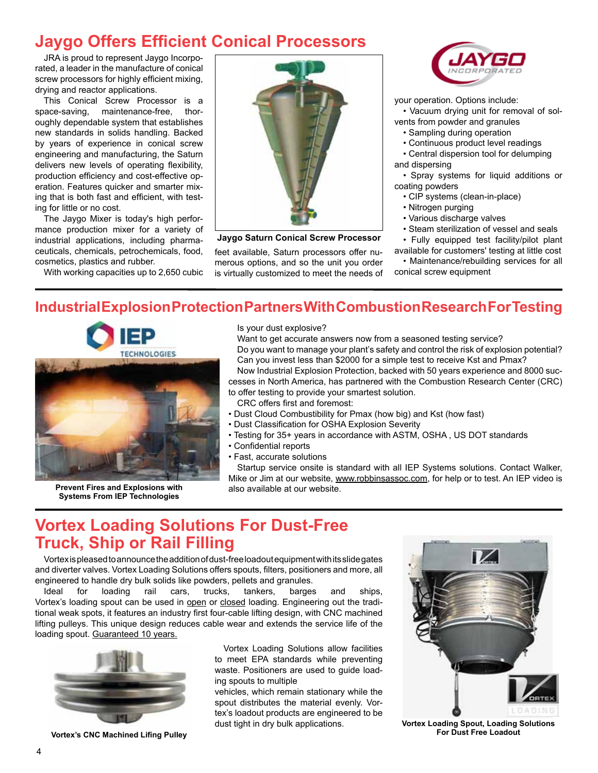### **Jaygo Offers Efficient Conical Processors**

JRA is proud to represent Jaygo Incorporated, a leader in the manufacture of conical screw processors for highly efficient mixing, drying and reactor applications.

This Conical Screw Processor is a space-saving, maintenance-free, thoroughly dependable system that establishes new standards in solids handling. Backed by years of experience in conical screw engineering and manufacturing, the Saturn delivers new levels of operating flexibility, production efficiency and cost-effective operation. Features quicker and smarter mixing that is both fast and efficient, with testing for little or no cost.

The Jaygo Mixer is today's high performance production mixer for a variety of industrial applications, including pharmaceuticals, chemicals, petrochemicals, food, cosmetics, plastics and rubber.

With working capacities up to 2,650 cubic



**Jaygo Saturn Conical Screw Processor**

feet available, Saturn processors offer numerous options, and so the unit you order is virtually customized to meet the needs of



your operation. Options include: • Vacuum drying unit for removal of solvents from powder and granules

- Sampling during operation
- Continuous product level readings
- Central dispersion tool for delumping and dispersing
	-

• Spray systems for liquid additions or coating powders

- CIP systems (clean-in-place)
- Nitrogen purging
- Various discharge valves
- Steam sterilization of vessel and seals

• Fully equipped test facility/pilot plant available for customers' testing at little cost

• Maintenance/rebuilding services for all conical screw equipment

#### **Industrial Explosion Protection Partners With Combustion Research For Testing**



**Prevent Fires and Explosions with Systems From IEP Technologies** 

Is your dust explosive?

Want to get accurate answers now from a seasoned testing service? Do you want to manage your plant's safety and control the risk of explosion potential? Can you invest less than \$2000 for a simple test to receive Kst and Pmax? Now Industrial Explosion Protection, backed with 50 years experience and 8000 suc-

cesses in North America, has partnered with the Combustion Research Center (CRC) to offer testing to provide your smartest solution.

CRC offers first and foremost:

- Dust Cloud Combustibility for Pmax (how big) and Kst (how fast)
- Dust Classification for OSHA Explosion Severity
- Testing for 35+ years in accordance with ASTM, OSHA , US DOT standards
- Confidential reports
- Fast, accurate solutions

Startup service onsite is standard with all IEP Systems solutions. Contact Walker, Mike or Jim at our website, www.robbinsassoc.com, for help or to test. An IEP video is also available at our website.

### **Vortex Loading Solutions For Dust-Free Truck, Ship or Rail Filling**

Vortex is pleased to announce the addition of dust-free loadout equipment with its slide gates and diverter valves. Vortex Loading Solutions offers spouts, filters, positioners and more, all engineered to handle dry bulk solids like powders, pellets and granules.

Ideal for loading rail cars, trucks, tankers, barges and ships, Vortex's loading spout can be used in open or closed loading. Engineering out the traditional weak spots, it features an industry first four-cable lifting design, with CNC machined lifting pulleys. This unique design reduces cable wear and extends the service life of the loading spout. Guaranteed 10 years.



**Vortex's CNC Machined Lifing Pulley**

Vortex Loading Solutions allow facilities to meet EPA standards while preventing waste. Positioners are used to guide loading spouts to multiple

vehicles, which remain stationary while the spout distributes the material evenly. Vortex's loadout products are engineered to be dust tight in dry bulk applications.



**Vortex Loading Spout, Loading Solutions For Dust Free Loadout**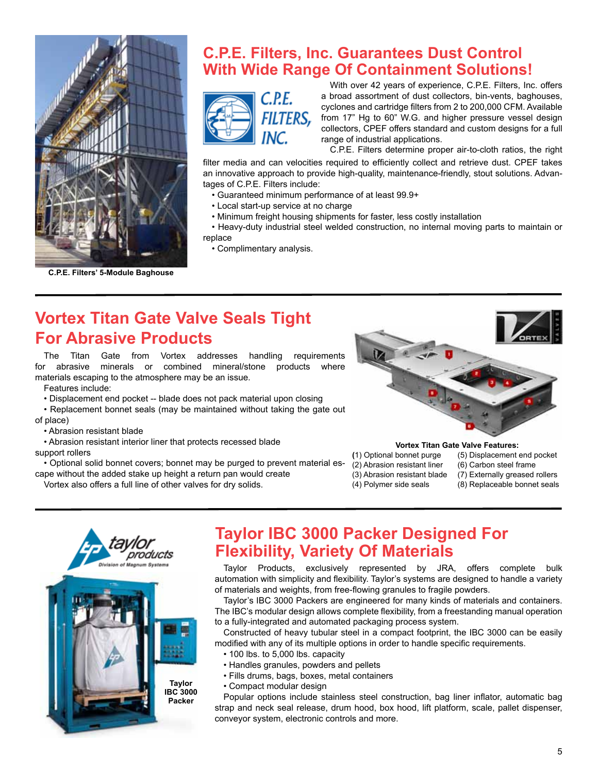

**C.P.E. Filters' 5-Module Baghouse**

#### **C.P.E. Filters, Inc. Guarantees Dust Control With Wide Range Of Containment Solutions!**



With over 42 years of experience, C.P.E. Filters, Inc. offers a broad assortment of dust collectors, bin-vents, baghouses, cyclones and cartridge filters from 2 to 200,000 CFM. Available from 17" Hg to 60" W.G. and higher pressure vessel design collectors, CPEF offers standard and custom designs for a full range of industrial applications.

C.P.E. Filters determine proper air-to-cloth ratios, the right

filter media and can velocities required to efficiently collect and retrieve dust. CPEF takes an innovative approach to provide high-quality, maintenance-friendly, stout solutions. Advantages of C.P.E. Filters include:

- Guaranteed minimum performance of at least 99.9+
- Local start-up service at no charge
- Minimum freight housing shipments for faster, less costly installation

• Heavy-duty industrial steel welded construction, no internal moving parts to maintain or replace

• Complimentary analysis.

# **Vortex Titan Gate Valve Seals Tight For Abrasive Products**

The Titan Gate from Vortex addresses handling requirements for abrasive minerals or combined mineral/stone products where materials escaping to the atmosphere may be an issue.

Features include:

- Displacement end pocket -- blade does not pack material upon closing
- Replacement bonnet seals (may be maintained without taking the gate out of place)

• Abrasion resistant blade

• Abrasion resistant interior liner that protects recessed blade

support rollers

- Optional solid bonnet covers; bonnet may be purged to prevent material escape without the added stake up height a return pan would create
	- Vortex also offers a full line of other valves for dry solids.



**Vortex Titan Gate Valve Features:**

- **(**1) Optional bonnet purge (5) Displacement end pocket
- (2) Abrasion resistant liner (6) Carbon steel frame
- -
	-
- (3) Abrasion resistant blade (7) Externally greased rollers
- (4) Polymer side seals (8) Replaceable bonnet seals



### **Taylor IBC 3000 Packer Designed For Flexibility, Variety Of Materials**

Taylor Products, exclusively represented by JRA, offers complete bulk automation with simplicity and flexibility. Taylor's systems are designed to handle a variety of materials and weights, from free-flowing granules to fragile powders.

Taylor's IBC 3000 Packers are engineered for many kinds of materials and containers. The IBC's modular design allows complete flexibility, from a freestanding manual operation to a fully-integrated and automated packaging process system.

Constructed of heavy tubular steel in a compact footprint, the IBC 3000 can be easily modified with any of its multiple options in order to handle specific requirements.

- 100 lbs. to 5,000 lbs. capacity
- Handles granules, powders and pellets
- Fills drums, bags, boxes, metal containers
- Compact modular design

Popular options include stainless steel construction, bag liner inflator, automatic bag strap and neck seal release, drum hood, box hood, lift platform, scale, pallet dispenser, conveyor system, electronic controls and more.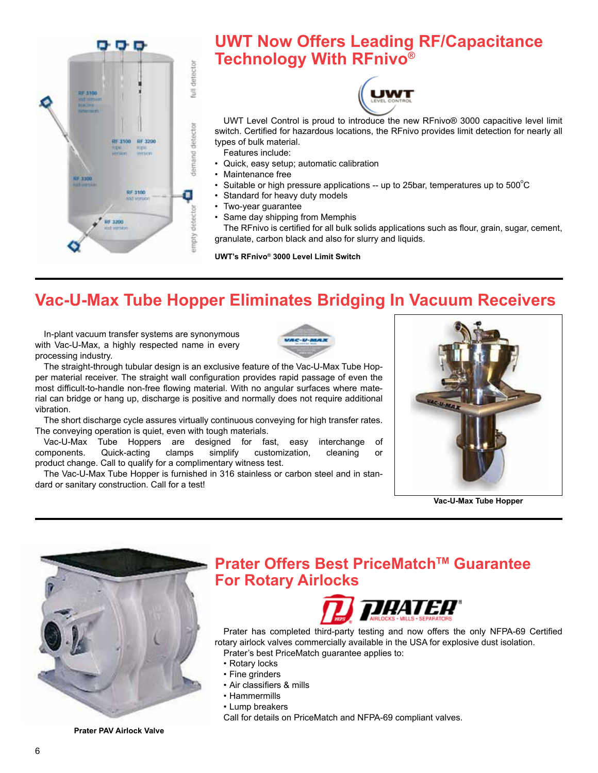

# **UWT Now Offers Leading RF/Capacitance Technology With RFnivo®**



UWT Level Control is proud to introduce the new RFnivo® 3000 capacitive level limit switch. Certified for hazardous locations, the RFnivo provides limit detection for nearly all types of bulk material.

Features include:

- Quick, easy setup; automatic calibration
- Maintenance free
- Suitable or high pressure applications -- up to 25bar, temperatures up to 500 $^{\circ}$ C
- Standard for heavy duty models
- Two-year guarantee
- Same day shipping from Memphis

The RFnivo is certified for all bulk solids applications such as flour, grain, sugar, cement, granulate, carbon black and also for slurry and liquids.

**UWT's RFnivo® 3000 Level Limit Switch**

# **Vac-U-Max Tube Hopper Eliminates Bridging In Vacuum Receivers**

In-plant vacuum transfer systems are synonymous with Vac-U-Max, a highly respected name in every processing industry.



The straight-through tubular design is an exclusive feature of the Vac-U-Max Tube Hopper material receiver. The straight wall configuration provides rapid passage of even the most difficult-to-handle non-free flowing material. With no angular surfaces where material can bridge or hang up, discharge is positive and normally does not require additional vibration.

The short discharge cycle assures virtually continuous conveying for high transfer rates. The conveying operation is quiet, even with tough materials.

Vac-U-Max Tube Hoppers are designed for fast, easy interchange of components. Quick-acting clamps simplify customization, cleaning or product change. Call to qualify for a complimentary witness test.

The Vac-U-Max Tube Hopper is furnished in 316 stainless or carbon steel and in standard or sanitary construction. Call for a test!



**Vac-U-Max Tube Hopper**



**Prater Offers Best PriceMatch™ Guarantee For Rotary Airlocks**



Prater has completed third-party testing and now offers the only NFPA-69 Certified rotary airlock valves commercially available in the USA for explosive dust isolation. Prater's best PriceMatch guarantee applies to:

- Rotary locks
- Fine grinders
- Air classifiers & mills
- Hammermills
- Lump breakers

Call for details on PriceMatch and NFPA-69 compliant valves.

**Prater PAV Airlock Valve**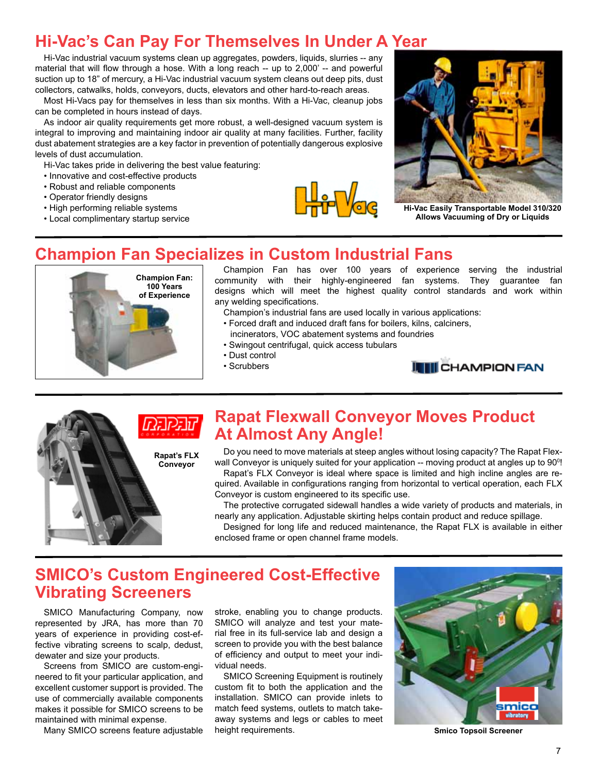# **Hi-Vac's Can Pay For Themselves In Under A Year**

Hi-Vac industrial vacuum systems clean up aggregates, powders, liquids, slurries -- any material that will flow through a hose. With a long reach -- up to 2,000' -- and powerful suction up to 18" of mercury, a Hi-Vac industrial vacuum system cleans out deep pits, dust collectors, catwalks, holds, conveyors, ducts, elevators and other hard-to-reach areas.

Most Hi-Vacs pay for themselves in less than six months. With a Hi-Vac, cleanup jobs can be completed in hours instead of days.

As indoor air quality requirements get more robust, a well-designed vacuum system is integral to improving and maintaining indoor air quality at many facilities. Further, facility dust abatement strategies are a key factor in prevention of potentially dangerous explosive levels of dust accumulation.

Hi-Vac takes pride in delivering the best value featuring:

- Innovative and cost-effective products
- Robust and reliable components
- Operator friendly designs
- High performing reliable systems
- Local complimentary startup service





**Hi-Vac Easily Transportable Model 310/320 Allows Vacuuming of Dry or Liquids**

#### **Champion Fan Specializes in Custom Industrial Fans**



Champion Fan has over 100 years of experience serving the industrial community with their highly-engineered fan systems. They guarantee fan designs which will meet the highest quality control standards and work within any welding specifications.

Champion's industrial fans are used locally in various applications:

- Forced draft and induced draft fans for boilers, kilns, calciners, incinerators, VOC abatement systems and foundries
- Swingout centrifugal, quick access tubulars
- Dust control
- 
- Scrubbers



# **Rapat Flexwall Conveyor Moves Product At Almost Any Angle!**

Do you need to move materials at steep angles without losing capacity? The Rapat Flexwall Conveyor is uniquely suited for your application -- moving product at angles up to 90<sup>o</sup>!

Rapat's FLX Conveyor is ideal where space is limited and high incline angles are required. Available in configurations ranging from horizontal to vertical operation, each FLX Conveyor is custom engineered to its specific use.

The protective corrugated sidewall handles a wide variety of products and materials, in nearly any application. Adjustable skirting helps contain product and reduce spillage.

Designed for long life and reduced maintenance, the Rapat FLX is available in either enclosed frame or open channel frame models.

### **SMICO's Custom Engineered Cost-Effective Vibrating Screeners**

**Rapat's FLX Conveyor**

SMICO Manufacturing Company, now represented by JRA, has more than 70 years of experience in providing cost-effective vibrating screens to scalp, dedust, dewater and size your products.

Screens from SMICO are custom-engineered to fit your particular application, and excellent customer support is provided. The use of commercially available components makes it possible for SMICO screens to be maintained with minimal expense.

Many SMICO screens feature adjustable

stroke, enabling you to change products. SMICO will analyze and test your material free in its full-service lab and design a screen to provide you with the best balance of efficiency and output to meet your individual needs.

SMICO Screening Equipment is routinely custom fit to both the application and the installation. SMICO can provide inlets to match feed systems, outlets to match takeaway systems and legs or cables to meet



**Smico Topsoil Screener**